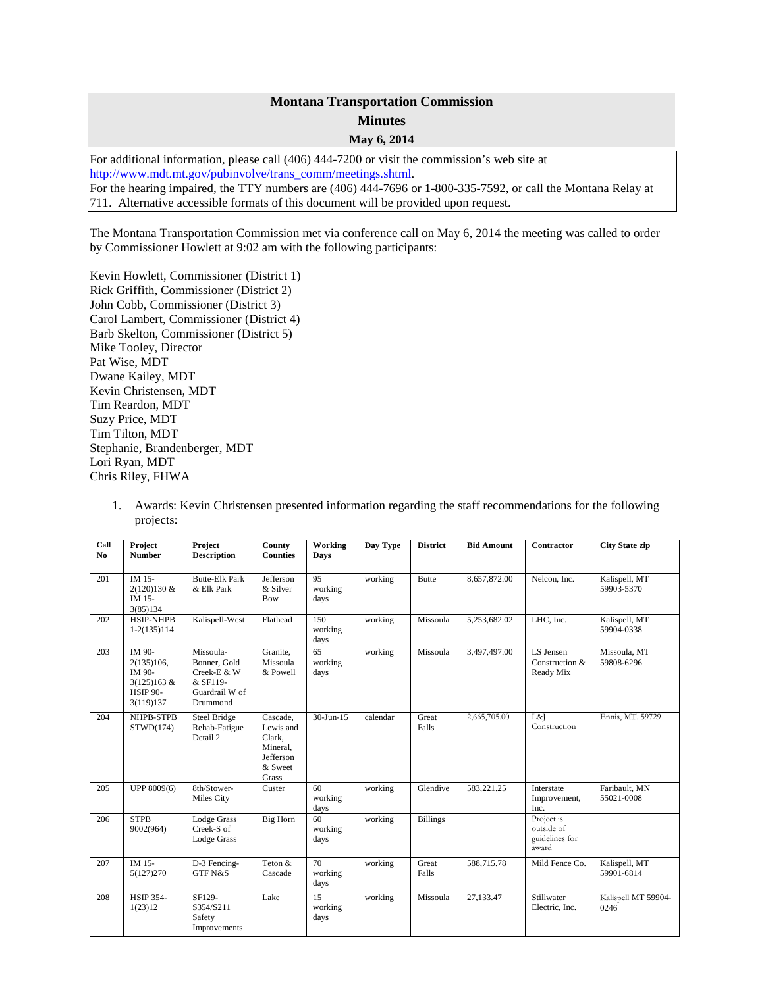## **Montana Transportation Commission Minutes May 6, 2014**

For additional information, please call (406) 444-7200 or visit the commission's web site at [http://www.mdt.mt.gov/pubinvolve/trans\\_comm/meetings.shtml.](http://www.mdt.mt.gov/pubinvolve/trans_comm/meetings.shtml) For the hearing impaired, the TTY numbers are (406) 444-7696 or 1-800-335-7592, or call the Montana Relay at 711. Alternative accessible formats of this document will be provided upon request.

The Montana Transportation Commission met via conference call on May 6, 2014 the meeting was called to order by Commissioner Howlett at 9:02 am with the following participants:

Kevin Howlett, Commissioner (District 1) Rick Griffith, Commissioner (District 2) John Cobb, Commissioner (District 3) Carol Lambert, Commissioner (District 4) Barb Skelton, Commissioner (District 5) Mike Tooley, Director Pat Wise, MDT Dwane Kailey, MDT Kevin Christensen, MDT Tim Reardon, MDT Suzy Price, MDT Tim Tilton, MDT Stephanie, Brandenberger, MDT Lori Ryan, MDT Chris Riley, FHWA

| Call<br>N <sub>0</sub> | Project<br><b>Number</b>                                                      | Project<br><b>Description</b>                                                      | County<br><b>Counties</b>                                                    | Working<br><b>Days</b> | Day Type | <b>District</b> | <b>Bid Amount</b> | Contractor                                          | <b>City State zip</b>       |
|------------------------|-------------------------------------------------------------------------------|------------------------------------------------------------------------------------|------------------------------------------------------------------------------|------------------------|----------|-----------------|-------------------|-----------------------------------------------------|-----------------------------|
| 201                    | IM 15-<br>2(120)130 &<br>IM 15-<br>3(85)134                                   | <b>Butte-Elk Park</b><br>& Elk Park                                                | Jefferson<br>& Silver<br>Bow                                                 | 95<br>working<br>days  | working  | <b>Butte</b>    | 8,657,872.00      | Nelcon, Inc.                                        | Kalispell, MT<br>59903-5370 |
| 202                    | <b>HSIP-NHPB</b><br>$1-2(135)114$                                             | Kalispell-West                                                                     | Flathead                                                                     | 150<br>working<br>days | working  | Missoula        | 5,253,682.02      | LHC, Inc.                                           | Kalispell, MT<br>59904-0338 |
| 203                    | IM 90-<br>2(135)106.<br>IM 90-<br>3(125)163 &<br><b>HSIP 90-</b><br>3(119)137 | Missoula-<br>Bonner, Gold<br>Creek-E & W<br>& SF119-<br>Guardrail W of<br>Drummond | Granite.<br>Missoula<br>& Powell                                             | 65<br>working<br>days  | working  | Missoula        | 3,497,497.00      | LS Jensen<br>Construction &<br>Ready Mix            | Missoula, MT<br>59808-6296  |
| 204                    | NHPB-STPB<br>STWD(174)                                                        | Steel Bridge<br>Rehab-Fatigue<br>Detail 2                                          | Cascade.<br>Lewis and<br>Clark.<br>Mineral.<br>Jefferson<br>& Sweet<br>Grass | $30-Jun-15$            | calendar | Great<br>Falls  | 2,665,705.00      | L&I<br>Construction                                 | Ennis, MT. 59729            |
| 205                    | UPP 8009(6)                                                                   | 8th/Stower-<br>Miles City                                                          | Custer                                                                       | 60<br>working<br>days  | working  | Glendive        | 583,221.25        | Interstate<br>Improvement,<br>Inc.                  | Faribault, MN<br>55021-0008 |
| 206                    | <b>STPB</b><br>9002(964)                                                      | Lodge Grass<br>Creek-S of<br>Lodge Grass                                           | Big Horn                                                                     | 60<br>working<br>days  | working  | <b>Billings</b> |                   | Project is<br>outside of<br>guidelines for<br>award |                             |
| 207                    | IM 15-<br>5(127) 270                                                          | D-3 Fencing-<br><b>GTF N&amp;S</b>                                                 | Teton &<br>Cascade                                                           | 70<br>working<br>days  | working  | Great<br>Falls  | 588,715.78        | Mild Fence Co.                                      | Kalispell, MT<br>59901-6814 |
| 208                    | <b>HSIP 354-</b><br>1(23)12                                                   | SF129-<br>S354/S211<br>Safety<br>Improvements                                      | Lake                                                                         | 15<br>working<br>days  | working  | Missoula        | 27,133.47         | Stillwater<br>Electric, Inc.                        | Kalispell MT 59904-<br>0246 |

1. Awards: Kevin Christensen presented information regarding the staff recommendations for the following projects: